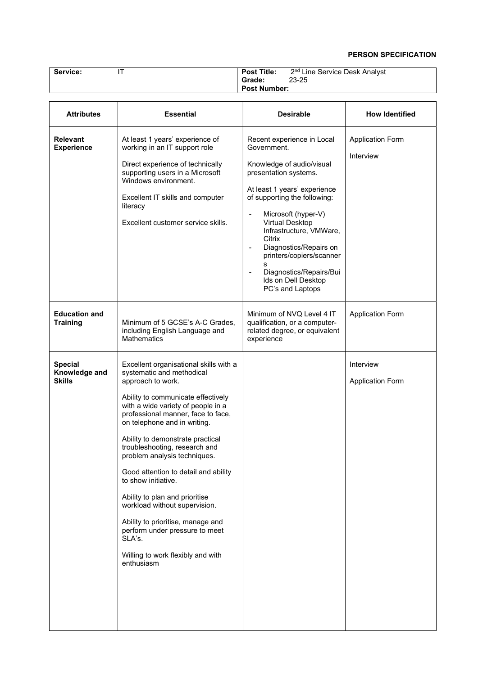## PERSON SPECIFICATION

| Service:                                         | IT                                                                                                                                                                                                                                                                                                                                                                                                                                                                                                                                                                                                                    | <b>Post Title:</b><br>2 <sup>nd</sup> Line Service Desk Analyst                                                                                                                                                                                                                                                                                                                                                                                |                                      |
|--------------------------------------------------|-----------------------------------------------------------------------------------------------------------------------------------------------------------------------------------------------------------------------------------------------------------------------------------------------------------------------------------------------------------------------------------------------------------------------------------------------------------------------------------------------------------------------------------------------------------------------------------------------------------------------|------------------------------------------------------------------------------------------------------------------------------------------------------------------------------------------------------------------------------------------------------------------------------------------------------------------------------------------------------------------------------------------------------------------------------------------------|--------------------------------------|
|                                                  |                                                                                                                                                                                                                                                                                                                                                                                                                                                                                                                                                                                                                       | Grade:<br>23-25<br><b>Post Number:</b>                                                                                                                                                                                                                                                                                                                                                                                                         |                                      |
|                                                  |                                                                                                                                                                                                                                                                                                                                                                                                                                                                                                                                                                                                                       |                                                                                                                                                                                                                                                                                                                                                                                                                                                |                                      |
| <b>Attributes</b>                                | <b>Essential</b>                                                                                                                                                                                                                                                                                                                                                                                                                                                                                                                                                                                                      | <b>Desirable</b>                                                                                                                                                                                                                                                                                                                                                                                                                               | <b>How Identified</b>                |
| <b>Relevant</b><br><b>Experience</b>             | At least 1 years' experience of<br>working in an IT support role<br>Direct experience of technically<br>supporting users in a Microsoft<br>Windows environment.<br>Excellent IT skills and computer<br>literacy<br>Excellent customer service skills.                                                                                                                                                                                                                                                                                                                                                                 | Recent experience in Local<br>Government.<br>Knowledge of audio/visual<br>presentation systems.<br>At least 1 years' experience<br>of supporting the following:<br>Microsoft (hyper-V)<br>$\overline{\phantom{a}}$<br><b>Virtual Desktop</b><br>Infrastructure, VMWare,<br>Citrix<br>Diagnostics/Repairs on<br>$\overline{\phantom{a}}$<br>printers/copiers/scanner<br>s<br>Diagnostics/Repairs/Bui<br>Ids on Dell Desktop<br>PC's and Laptops | <b>Application Form</b><br>Interview |
| <b>Education and</b><br><b>Training</b>          | Minimum of 5 GCSE's A-C Grades,<br>including English Language and<br><b>Mathematics</b>                                                                                                                                                                                                                                                                                                                                                                                                                                                                                                                               | Minimum of NVQ Level 4 IT<br>qualification, or a computer-<br>related degree, or equivalent<br>experience                                                                                                                                                                                                                                                                                                                                      | <b>Application Form</b>              |
| <b>Special</b><br>Knowledge and<br><b>Skills</b> | Excellent organisational skills with a<br>systematic and methodical<br>approach to work.<br>Ability to communicate effectively<br>with a wide variety of people in a<br>professional manner, face to face,<br>on telephone and in writing.<br>Ability to demonstrate practical<br>troubleshooting, research and<br>problem analysis techniques.<br>Good attention to detail and ability<br>to show initiative.<br>Ability to plan and prioritise<br>workload without supervision.<br>Ability to prioritise, manage and<br>perform under pressure to meet<br>SLA's.<br>Willing to work flexibly and with<br>enthusiasm |                                                                                                                                                                                                                                                                                                                                                                                                                                                | Interview<br><b>Application Form</b> |